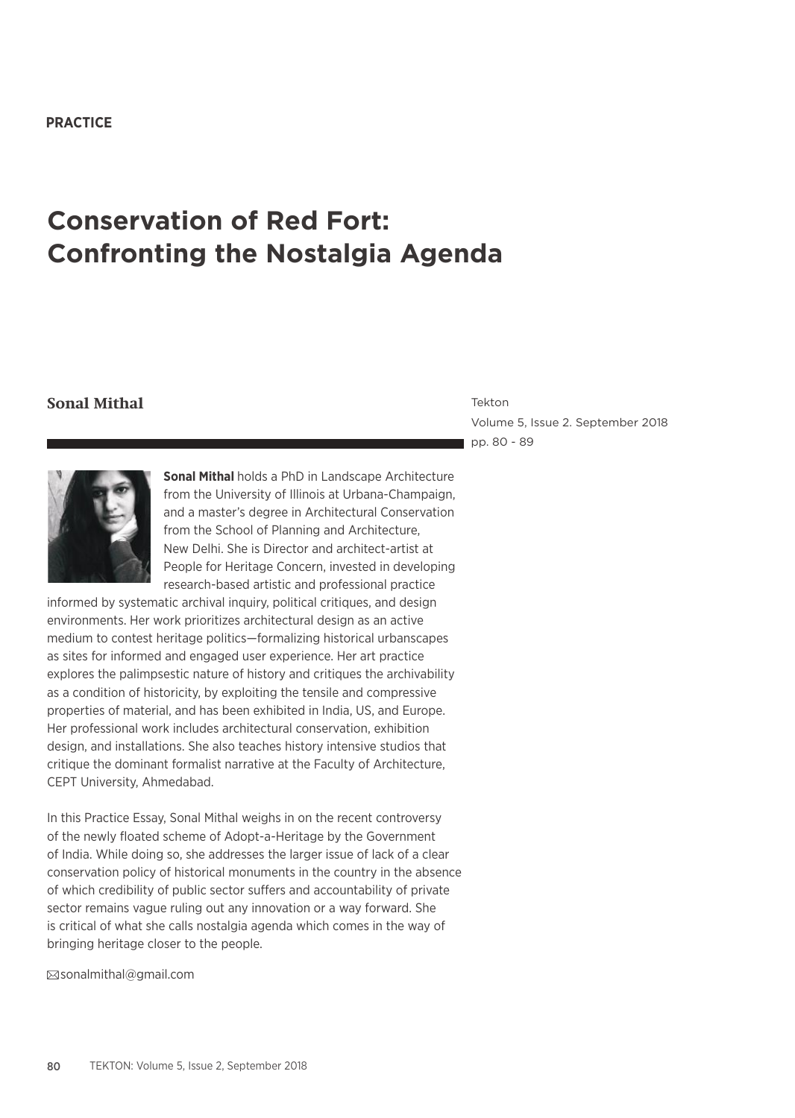#### **PRACTICE**

# **Conservation of Red Fort: Confronting the Nostalgia Agenda**

#### **Sonal Mithal** Tekton

Volume 5, Issue 2. September 2018 pp. 80 - 89



**Sonal Mithal** holds a PhD in Landscape Architecture from the University of Illinois at Urbana-Champaign, and a master's degree in Architectural Conservation from the School of Planning and Architecture, New Delhi. She is Director and architect-artist at People for Heritage Concern, invested in developing research-based artistic and professional practice

informed by systematic archival inquiry, political critiques, and design environments. Her work prioritizes architectural design as an active medium to contest heritage politics—formalizing historical urbanscapes as sites for informed and engaged user experience. Her art practice explores the palimpsestic nature of history and critiques the archivability as a condition of historicity, by exploiting the tensile and compressive properties of material, and has been exhibited in India, US, and Europe. Her professional work includes architectural conservation, exhibition design, and installations. She also teaches history intensive studios that critique the dominant formalist narrative at the Faculty of Architecture, CEPT University, Ahmedabad.

In this Practice Essay, Sonal Mithal weighs in on the recent controversy of the newly floated scheme of Adopt-a-Heritage by the Government of India. While doing so, she addresses the larger issue of lack of a clear conservation policy of historical monuments in the country in the absence of which credibility of public sector suffers and accountability of private sector remains vague ruling out any innovation or a way forward. She is critical of what she calls nostalgia agenda which comes in the way of bringing heritage closer to the people.

sonalmithal@gmail.com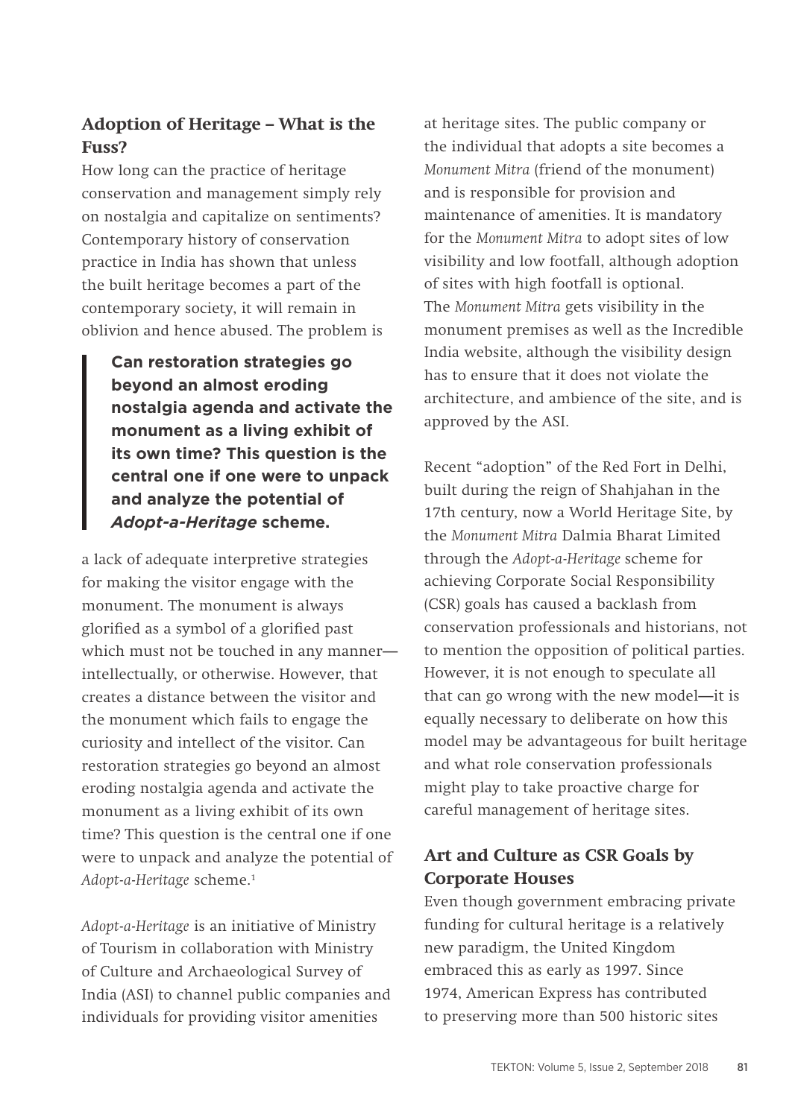# **Adoption of Heritage – What is the Fuss?**

How long can the practice of heritage conservation and management simply rely on nostalgia and capitalize on sentiments? Contemporary history of conservation practice in India has shown that unless the built heritage becomes a part of the contemporary society, it will remain in oblivion and hence abused. The problem is

**Can restoration strategies go beyond an almost eroding nostalgia agenda and activate the monument as a living exhibit of its own time? This question is the central one if one were to unpack and analyze the potential of**  *Adopt-a-Heritage* **scheme.**

a lack of adequate interpretive strategies for making the visitor engage with the monument. The monument is always glorified as a symbol of a glorified past which must not be touched in any manner intellectually, or otherwise. However, that creates a distance between the visitor and the monument which fails to engage the curiosity and intellect of the visitor. Can restoration strategies go beyond an almost eroding nostalgia agenda and activate the monument as a living exhibit of its own time? This question is the central one if one were to unpack and analyze the potential of *Adopt-a-Heritage* scheme.1

*Adopt-a-Heritage* is an initiative of Ministry of Tourism in collaboration with Ministry of Culture and Archaeological Survey of India (ASI) to channel public companies and individuals for providing visitor amenities

at heritage sites. The public company or the individual that adopts a site becomes a *Monument Mitra* (friend of the monument) and is responsible for provision and maintenance of amenities. It is mandatory for the *Monument Mitra* to adopt sites of low visibility and low footfall, although adoption of sites with high footfall is optional. The *Monument Mitra* gets visibility in the monument premises as well as the Incredible India website, although the visibility design has to ensure that it does not violate the architecture, and ambience of the site, and is approved by the ASI.

Recent "adoption" of the Red Fort in Delhi, built during the reign of Shahjahan in the 17th century, now a World Heritage Site, by the *Monument Mitra* Dalmia Bharat Limited through the *Adopt-a-Heritage* scheme for achieving Corporate Social Responsibility (CSR) goals has caused a backlash from conservation professionals and historians, not to mention the opposition of political parties. However, it is not enough to speculate all that can go wrong with the new model—it is equally necessary to deliberate on how this model may be advantageous for built heritage and what role conservation professionals might play to take proactive charge for careful management of heritage sites.

# **Art and Culture as CSR Goals by Corporate Houses**

Even though government embracing private funding for cultural heritage is a relatively new paradigm, the United Kingdom embraced this as early as 1997. Since 1974, American Express has contributed to preserving more than 500 historic sites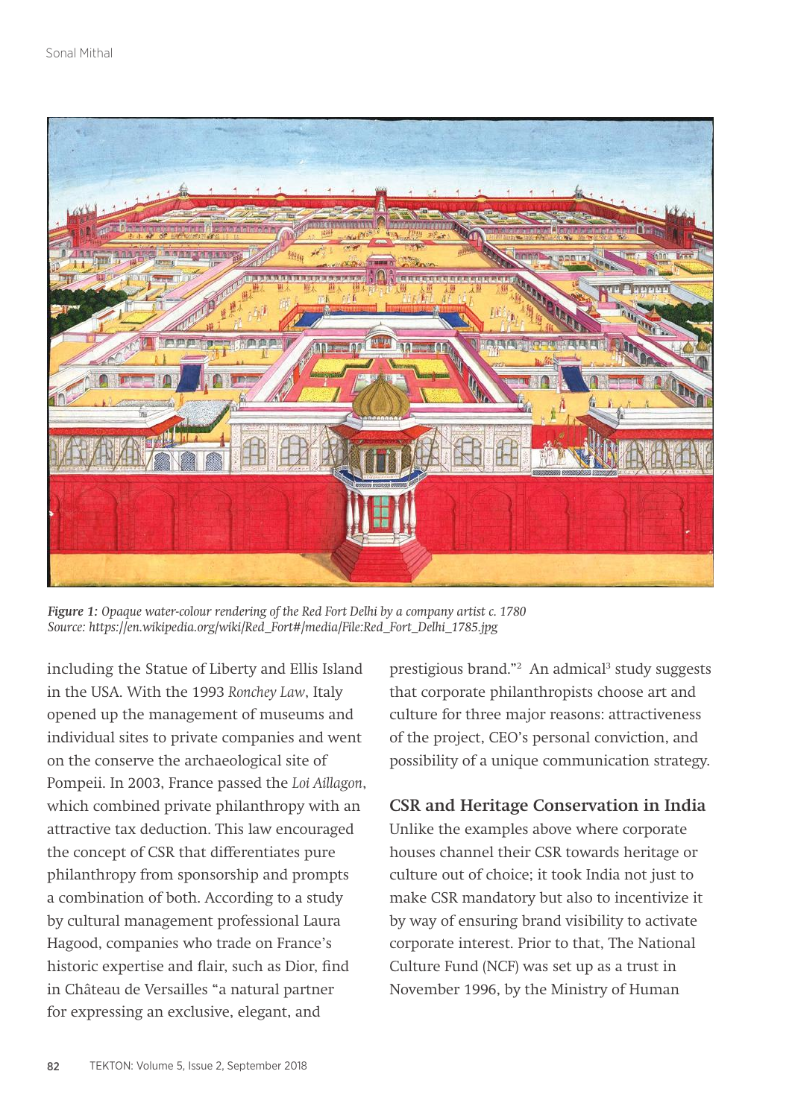

*Figure 1: Opaque water-colour rendering of the Red Fort Delhi by a company artist c. 1780 Source: https://en.wikipedia.org/wiki/Red\_Fort#/media/File:Red\_Fort\_Delhi\_1785.jpg*

including the Statue of Liberty and Ellis Island in the USA. With the 1993 *Ronchey Law*, Italy opened up the management of museums and individual sites to private companies and went on the conserve the archaeological site of Pompeii. In 2003, France passed the *Loi Aillagon*, which combined private philanthropy with an attractive tax deduction. This law encouraged the concept of CSR that differentiates pure philanthropy from sponsorship and prompts a combination of both. According to a study by cultural management professional Laura Hagood, companies who trade on France's historic expertise and flair, such as Dior, find in Château de Versailles "a natural partner for expressing an exclusive, elegant, and

prestigious brand."<sup>2</sup> An admical<sup>3</sup> study suggests that corporate philanthropists choose art and culture for three major reasons: attractiveness of the project, CEO's personal conviction, and possibility of a unique communication strategy.

### **CSR and Heritage Conservation in India**

Unlike the examples above where corporate houses channel their CSR towards heritage or culture out of choice; it took India not just to make CSR mandatory but also to incentivize it by way of ensuring brand visibility to activate corporate interest. Prior to that, The National Culture Fund (NCF) was set up as a trust in November 1996, by the Ministry of Human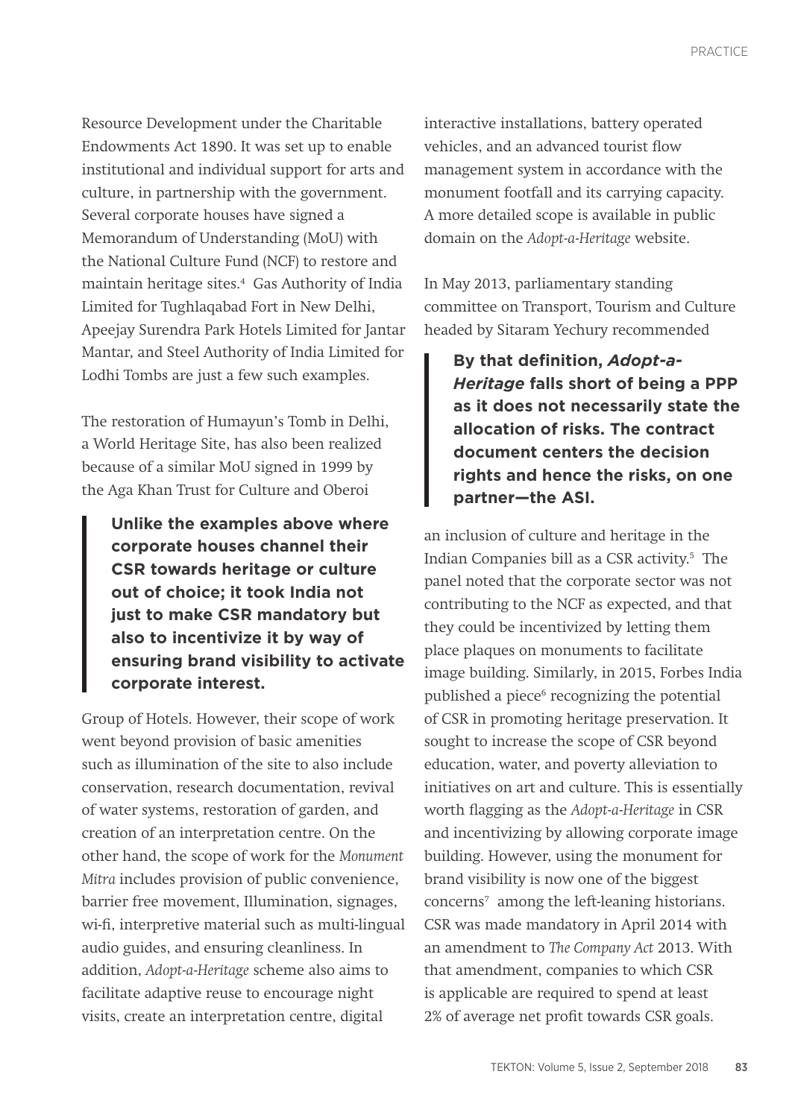Resource Development under the Charitable Endowments Act 1890. It was set up to enable institutional and individual support for arts and culture, in partnership with the government. Several corporate houses have signed a Memorandum of Understanding (MoU) with the National Culture Fund (NCF) to restore and maintain heritage sites.4 Gas Authority of India Limited for Tughlaqabad Fort in New Delhi, Apeejay Surendra Park Hotels Limited for Jantar Mantar, and Steel Authority of India Limited for Lodhi Tombs are just a few such examples.

The restoration of Humayun's Tomb in Delhi, a World Heritage Site, has also been realized because of a similar MoU signed in 1999 by the Aga Khan Trust for Culture and Oberoi

**Unlike the examples above where corporate houses channel their CSR towards heritage or culture out of choice; it took India not just to make CSR mandatory but also to incentivize it by way of ensuring brand visibility to activate corporate interest.** 

Group of Hotels. However, their scope of work went beyond provision of basic amenities such as illumination of the site to also include conservation, research documentation, revival of water systems, restoration of garden, and creation of an interpretation centre. On the other hand, the scope of work for the *Monument Mitra* includes provision of public convenience, barrier free movement, Illumination, signages, wi-fi, interpretive material such as multi-lingual audio guides, and ensuring cleanliness. In addition, *Adopt-a-Heritage* scheme also aims to facilitate adaptive reuse to encourage night visits, create an interpretation centre, digital

interactive installations, battery operated vehicles, and an advanced tourist flow management system in accordance with the monument footfall and its carrying capacity. A more detailed scope is available in public domain on the *Adopt-a-Heritage* website.

In May 2013, parliamentary standing committee on Transport, Tourism and Culture headed by Sitaram Yechury recommended

**By that definition,** *Adopt-a-Heritage* **falls short of being a PPP as it does not necessarily state the allocation of risks. The contract document centers the decision rights and hence the risks, on one partner—the ASI.**

an inclusion of culture and heritage in the Indian Companies bill as a CSR activity.5 The panel noted that the corporate sector was not contributing to the NCF as expected, and that they could be incentivized by letting them place plaques on monuments to facilitate image building. Similarly, in 2015, Forbes India published a piece<sup>6</sup> recognizing the potential of CSR in promoting heritage preservation. It sought to increase the scope of CSR beyond education, water, and poverty alleviation to initiatives on art and culture. This is essentially worth flagging as the *Adopt-a-Heritage* in CSR and incentivizing by allowing corporate image building. However, using the monument for brand visibility is now one of the biggest concerns7 among the left-leaning historians. CSR was made mandatory in April 2014 with an amendment to *The Company Act* 2013. With that amendment, companies to which CSR is applicable are required to spend at least 2% of average net profit towards CSR goals.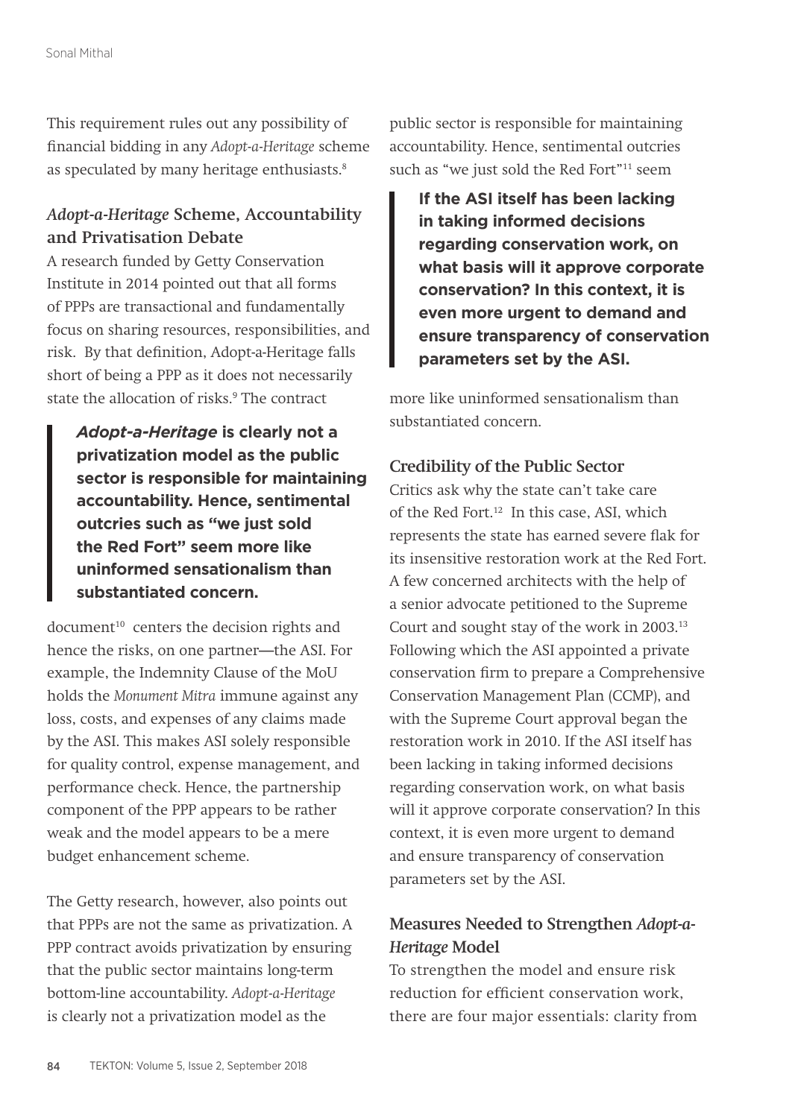This requirement rules out any possibility of financial bidding in any *Adopt-a-Heritage* scheme as speculated by many heritage enthusiasts.<sup>8</sup>

## *Adopt-a-Heritage* **Scheme, Accountability and Privatisation Debate**

A research funded by Getty Conservation Institute in 2014 pointed out that all forms of PPPs are transactional and fundamentally focus on sharing resources, responsibilities, and risk. By that definition, Adopt-a-Heritage falls short of being a PPP as it does not necessarily state the allocation of risks.<sup>9</sup> The contract

*Adopt-a-Heritage* **is clearly not a privatization model as the public sector is responsible for maintaining accountability. Hence, sentimental outcries such as "we just sold the Red Fort" seem more like uninformed sensationalism than substantiated concern.**

document<sup>10</sup> centers the decision rights and hence the risks, on one partner—the ASI. For example, the Indemnity Clause of the MoU holds the *Monument Mitra* immune against any loss, costs, and expenses of any claims made by the ASI. This makes ASI solely responsible for quality control, expense management, and performance check. Hence, the partnership component of the PPP appears to be rather weak and the model appears to be a mere budget enhancement scheme.

The Getty research, however, also points out that PPPs are not the same as privatization. A PPP contract avoids privatization by ensuring that the public sector maintains long-term bottom-line accountability. *Adopt-a-Heritage*  is clearly not a privatization model as the

public sector is responsible for maintaining accountability. Hence, sentimental outcries such as "we just sold the Red Fort"<sup>11</sup> seem

**If the ASI itself has been lacking in taking informed decisions regarding conservation work, on what basis will it approve corporate conservation? In this context, it is even more urgent to demand and ensure transparency of conservation parameters set by the ASI.** 

more like uninformed sensationalism than substantiated concern.

### **Credibility of the Public Sector**

Critics ask why the state can't take care of the Red Fort<sup>12</sup> In this case, ASI, which represents the state has earned severe flak for its insensitive restoration work at the Red Fort. A few concerned architects with the help of a senior advocate petitioned to the Supreme Court and sought stay of the work in 2003.13 Following which the ASI appointed a private conservation firm to prepare a Comprehensive Conservation Management Plan (CCMP), and with the Supreme Court approval began the restoration work in 2010. If the ASI itself has been lacking in taking informed decisions regarding conservation work, on what basis will it approve corporate conservation? In this context, it is even more urgent to demand and ensure transparency of conservation parameters set by the ASI.

## **Measures Needed to Strengthen** *Adopt-a-Heritage* **Model**

To strengthen the model and ensure risk reduction for efficient conservation work, there are four major essentials: clarity from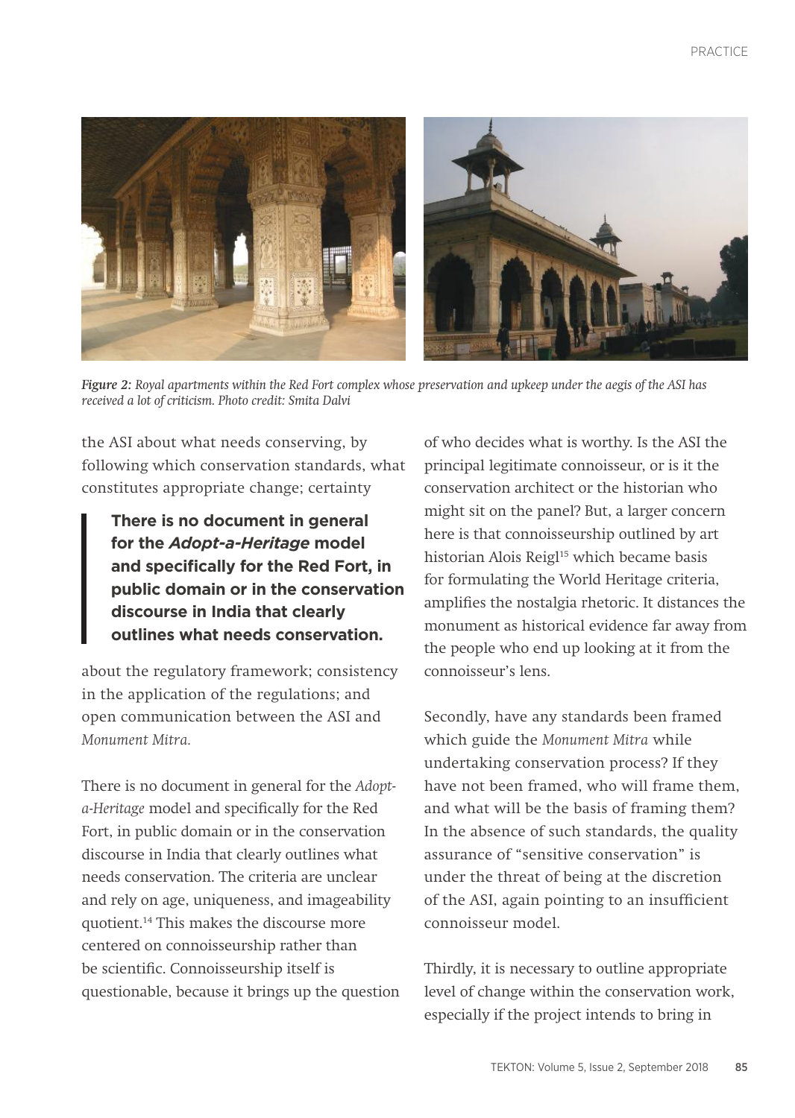

*Figure 2: Royal apartments within the Red Fort complex whose preservation and upkeep under the aegis of the ASI has received a lot of criticism. Photo credit: Smita Dalvi*

the ASI about what needs conserving, by following which conservation standards, what constitutes appropriate change; certainty

**There is no document in general for the** *Adopt-a-Heritage* **model and specifically for the Red Fort, in public domain or in the conservation discourse in India that clearly outlines what needs conservation.**

about the regulatory framework; consistency in the application of the regulations; and open communication between the ASI and *Monument Mitra.*

There is no document in general for the *Adopta-Heritage* model and specifically for the Red Fort, in public domain or in the conservation discourse in India that clearly outlines what needs conservation. The criteria are unclear and rely on age, uniqueness, and imageability quotient.14 This makes the discourse more centered on connoisseurship rather than be scientific. Connoisseurship itself is questionable, because it brings up the question of who decides what is worthy. Is the ASI the principal legitimate connoisseur, or is it the conservation architect or the historian who might sit on the panel? But, a larger concern here is that connoisseurship outlined by art historian Alois Reigl<sup>15</sup> which became basis for formulating the World Heritage criteria, amplifies the nostalgia rhetoric. It distances the monument as historical evidence far away from the people who end up looking at it from the connoisseur's lens.

Secondly, have any standards been framed which guide the *Monument Mitra* while undertaking conservation process? If they have not been framed, who will frame them, and what will be the basis of framing them? In the absence of such standards, the quality assurance of "sensitive conservation" is under the threat of being at the discretion of the ASI, again pointing to an insufficient connoisseur model.

Thirdly, it is necessary to outline appropriate level of change within the conservation work, especially if the project intends to bring in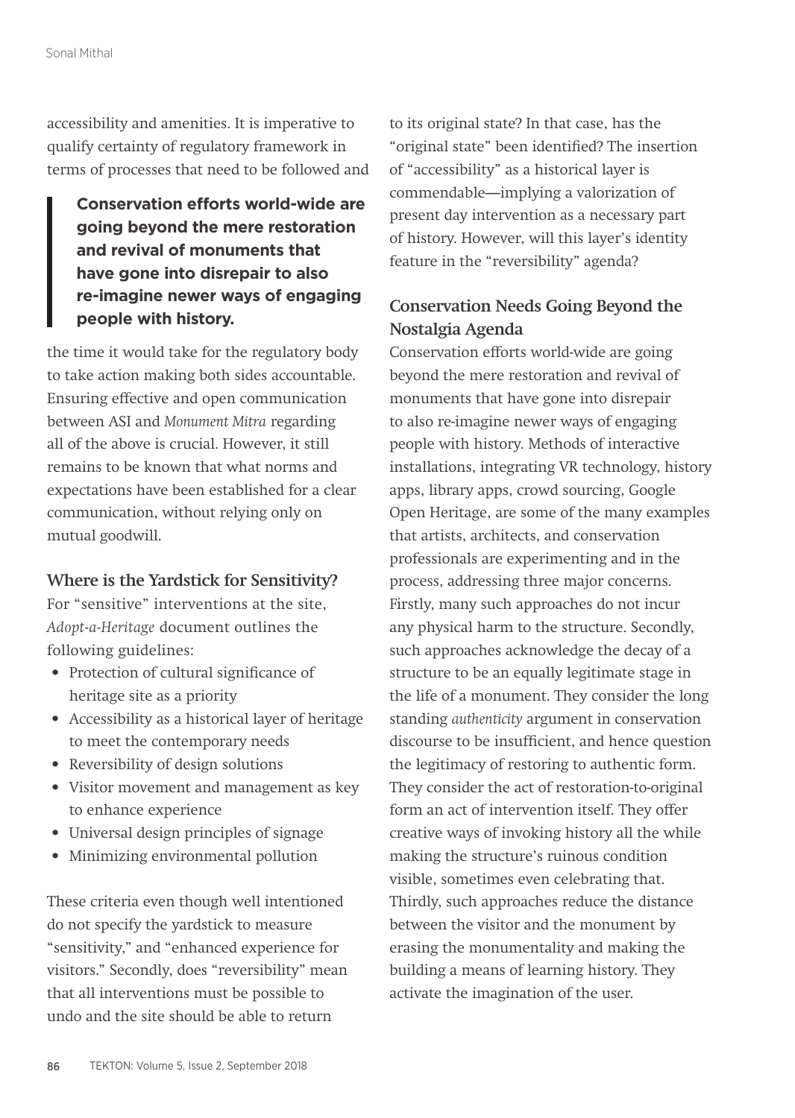accessibility and amenities. It is imperative to qualify certainty of regulatory framework in terms of processes that need to be followed and

**Conservation efforts world-wide are going beyond the mere restoration and revival of monuments that have gone into disrepair to also re-imagine newer ways of engaging people with history.** 

the time it would take for the regulatory body to take action making both sides accountable. Ensuring effective and open communication between ASI and *Monument Mitra* regarding all of the above is crucial. However, it still remains to be known that what norms and expectations have been established for a clear communication, without relying only on mutual goodwill.

#### **Where is the Yardstick for Sensitivity?**

For "sensitive" interventions at the site, *Adopt-a-Heritage* document outlines the following guidelines:

- Protection of cultural significance of heritage site as a priority
- • Accessibility as a historical layer of heritage to meet the contemporary needs
- Reversibility of design solutions
- • Visitor movement and management as key to enhance experience
- Universal design principles of signage
- • Minimizing environmental pollution

These criteria even though well intentioned do not specify the yardstick to measure "sensitivity," and "enhanced experience for visitors." Secondly, does "reversibility" mean that all interventions must be possible to undo and the site should be able to return

to its original state? In that case, has the "original state" been identified? The insertion of "accessibility" as a historical layer is commendable—implying a valorization of present day intervention as a necessary part of history. However, will this layer's identity feature in the "reversibility" agenda?

## **Conservation Needs Going Beyond the Nostalgia Agenda**

Conservation efforts world-wide are going beyond the mere restoration and revival of monuments that have gone into disrepair to also re-imagine newer ways of engaging people with history. Methods of interactive installations, integrating VR technology, history apps, library apps, crowd sourcing, Google Open Heritage, are some of the many examples that artists, architects, and conservation professionals are experimenting and in the process, addressing three major concerns. Firstly, many such approaches do not incur any physical harm to the structure. Secondly, such approaches acknowledge the decay of a structure to be an equally legitimate stage in the life of a monument. They consider the long standing *authenticity* argument in conservation discourse to be insufficient, and hence question the legitimacy of restoring to authentic form. They consider the act of restoration-to-original form an act of intervention itself. They offer creative ways of invoking history all the while making the structure's ruinous condition visible, sometimes even celebrating that. Thirdly, such approaches reduce the distance between the visitor and the monument by erasing the monumentality and making the building a means of learning history. They activate the imagination of the user.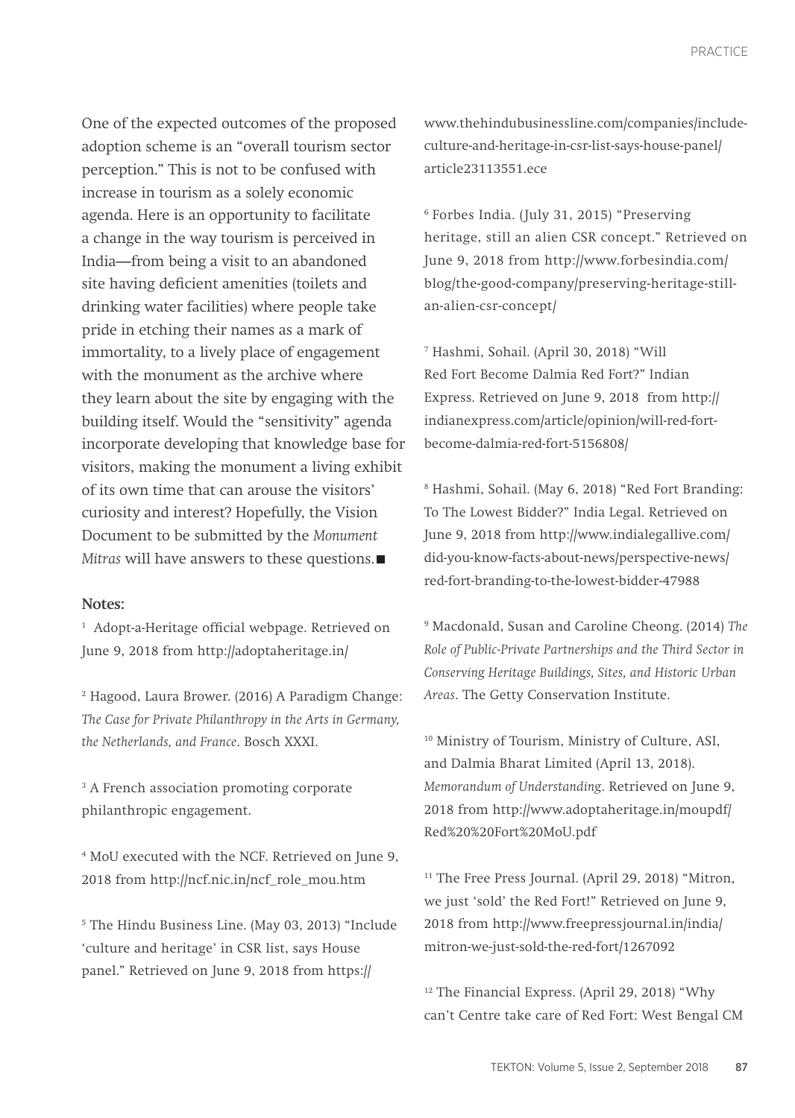One of the expected outcomes of the proposed adoption scheme is an "overall tourism sector perception." This is not to be confused with increase in tourism as a solely economic agenda. Here is an opportunity to facilitate a change in the way tourism is perceived in India—from being a visit to an abandoned site having deficient amenities (toilets and drinking water facilities) where people take pride in etching their names as a mark of immortality, to a lively place of engagement with the monument as the archive where they learn about the site by engaging with the building itself. Would the "sensitivity" agenda incorporate developing that knowledge base for visitors, making the monument a living exhibit of its own time that can arouse the visitors' curiosity and interest? Hopefully, the Vision Document to be submitted by the *Monument Mitras* will have answers to these questions.

#### **Notes:**

<sup>1</sup> Adopt-a-Heritage official webpage. Retrieved on June 9, 2018 from http://adoptaheritage.in/

2 Hagood, Laura Brower. (2016) A Paradigm Change: *The Case for Private Philanthropy in the Arts in Germany, the Netherlands, and France*. Bosch XXXI.

<sup>3</sup> A French association promoting corporate philanthropic engagement.

4 MoU executed with the NCF. Retrieved on June 9, 2018 from http://ncf.nic.in/ncf\_role\_mou.htm

5 The Hindu Business Line. (May 03, 2013) "Include 'culture and heritage' in CSR list, says House panel." Retrieved on June 9, 2018 from https://

www.thehindubusinessline.com/companies/includeculture-and-heritage-in-csr-list-says-house-panel/ article23113551.ece

6 Forbes India. (July 31, 2015) "Preserving heritage, still an alien CSR concept." Retrieved on June 9, 2018 from http://www.forbesindia.com/ blog/the-good-company/preserving-heritage-stillan-alien-csr-concept/

7 Hashmi, Sohail. (April 30, 2018) "Will Red Fort Become Dalmia Red Fort?" Indian Express. Retrieved on June 9, 2018 from http:// indianexpress.com/article/opinion/will-red-fortbecome-dalmia-red-fort-5156808/

8 Hashmi, Sohail. (May 6, 2018) "Red Fort Branding: To The Lowest Bidder?" India Legal. Retrieved on June 9, 2018 from http://www.indialegallive.com/ did-you-know-facts-about-news/perspective-news/ red-fort-branding-to-the-lowest-bidder-47988

9 Macdonald, Susan and Caroline Cheong. (2014) *The Role of Public-Private Partnerships and the Third Sector in Conserving Heritage Buildings, Sites, and Historic Urban Areas*. The Getty Conservation Institute.

10 Ministry of Tourism, Ministry of Culture, ASI, and Dalmia Bharat Limited (April 13, 2018). *Memorandum of Understanding*. Retrieved on June 9, 2018 from http://www.adoptaheritage.in/moupdf/ Red%20%20Fort%20MoU.pdf

<sup>11</sup> The Free Press Journal. (April 29, 2018) "Mitron, we just 'sold' the Red Fort!" Retrieved on June 9, 2018 from http://www.freepressjournal.in/india/ mitron-we-just-sold-the-red-fort/1267092

12 The Financial Express. (April 29, 2018) "Why can't Centre take care of Red Fort: West Bengal CM